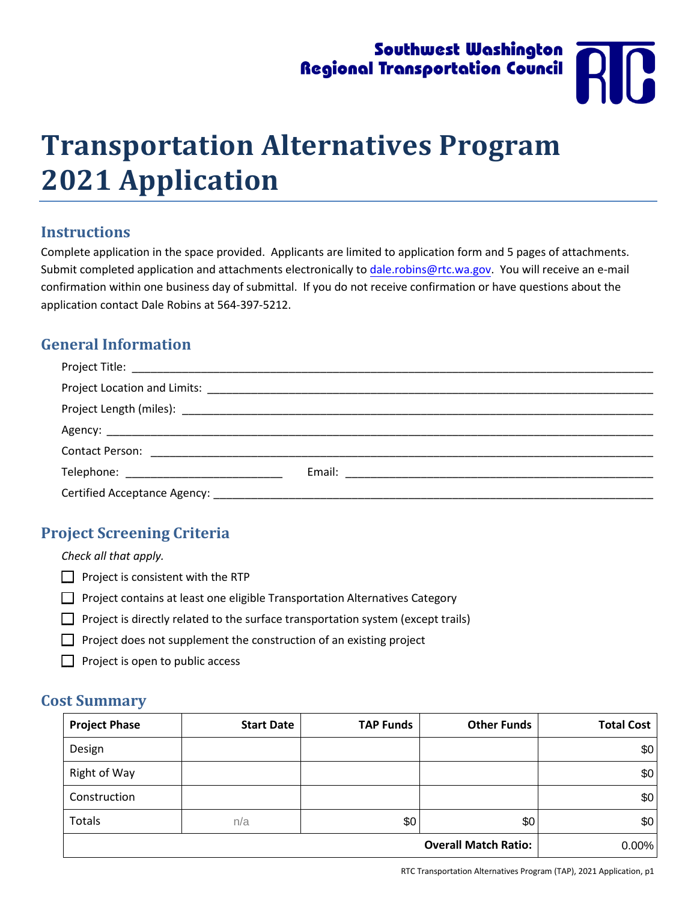# Southwest Washington **Regional Transportation Council**

# **Transportation Alternatives Program 2021 Application**

#### **Instructions**

Complete application in the space provided. Applicants are limited to application form and 5 pages of attachments. Submit completed application and attachments electronically to [dale.robins@rtc.wa.gov.](mailto:dale.robins@rtc.wa.gov?subject=TAP%20Application) You will receive an e-mail confirmation within one business day of submittal. If you do not receive confirmation or have questions about the application contact Dale Robins at 564-397-5212.

#### **General Information**

| Certified Acceptance Agency: |  |
|------------------------------|--|

#### **Project Screening Criteria**

*Check all that apply.* 

- $\Box$  Project is consistent with the RTP
- $\Box$  Project contains at least one eligible Transportation Alternatives Category
- $\Box$  Project is directly related to the surface transportation system (except trails)
- $\Box$  Project does not supplement the construction of an existing project
- $\Box$  Project is open to public access

#### **Cost Summary**

| <b>Project Phase</b> | <b>Start Date</b> | <b>TAP Funds</b> | <b>Other Funds</b>          | <b>Total Cost</b> |
|----------------------|-------------------|------------------|-----------------------------|-------------------|
| Design               |                   |                  |                             | \$0               |
| Right of Way         |                   |                  |                             | \$0               |
| Construction         |                   |                  |                             | \$0               |
| Totals               | n/a               | \$0              | \$0                         | \$0               |
|                      |                   |                  | <b>Overall Match Ratio:</b> | $0.00\%$          |

RTC Transportation Alternatives Program (TAP), 2021 Application, p1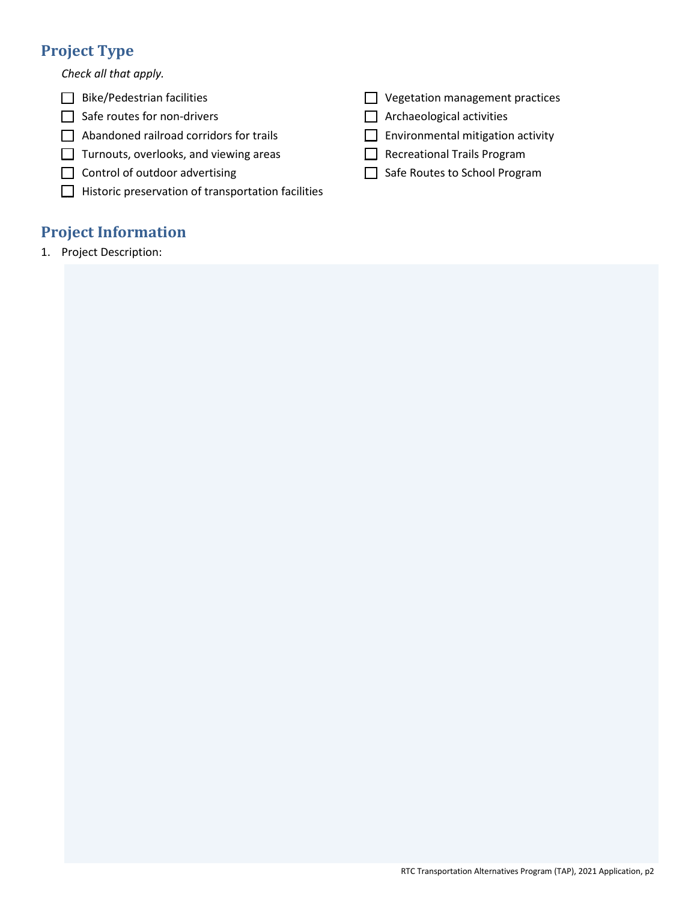## **Project Type**

*Check all that apply.*

- $\Box$  Bike/Pedestrian facilities
- $\Box$  Safe routes for non-drivers
- $\Box$  Abandoned railroad corridors for trails
- $\Box$  Turnouts, overlooks, and viewing areas
- $\Box$  Control of outdoor advertising
- $\Box$  Historic preservation of transportation facilities

### **Project Information**

1. Project Description:

- $\Box$  Vegetation management practices
- $\Box$  Archaeological activities
- $\Box$  Environmental mitigation activity
- Recreational Trails Program
- \_\_ Safe Routes to School Program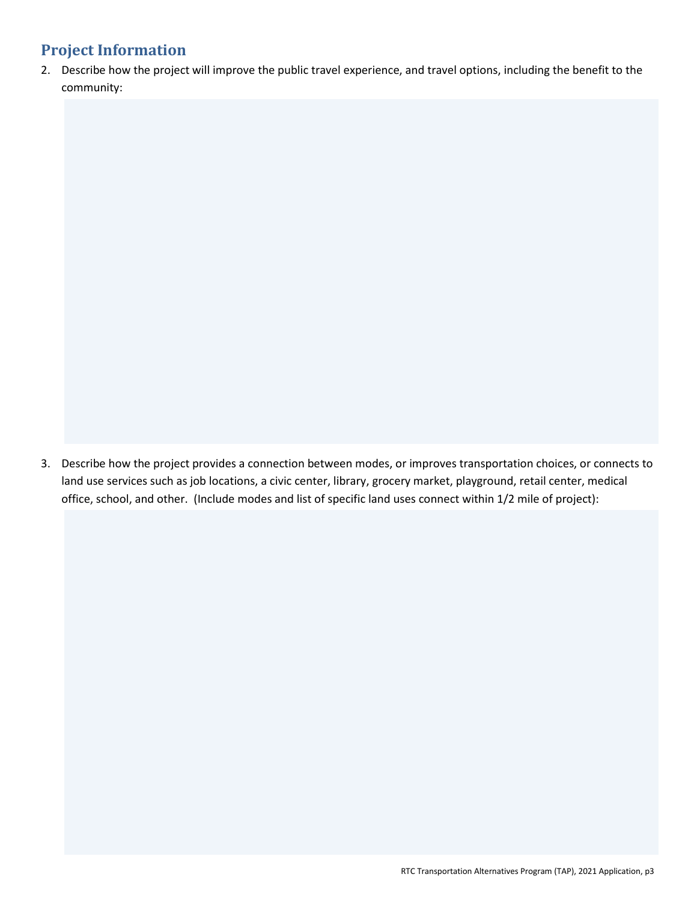2. Describe how the project will improve the public travel experience, and travel options, including the benefit to the community:

3. Describe how the project provides a connection between modes, or improves transportation choices, or connects to land use services such as job locations, a civic center, library, grocery market, playground, retail center, medical office, school, and other. (Include modes and list of specific land uses connect within 1/2 mile of project):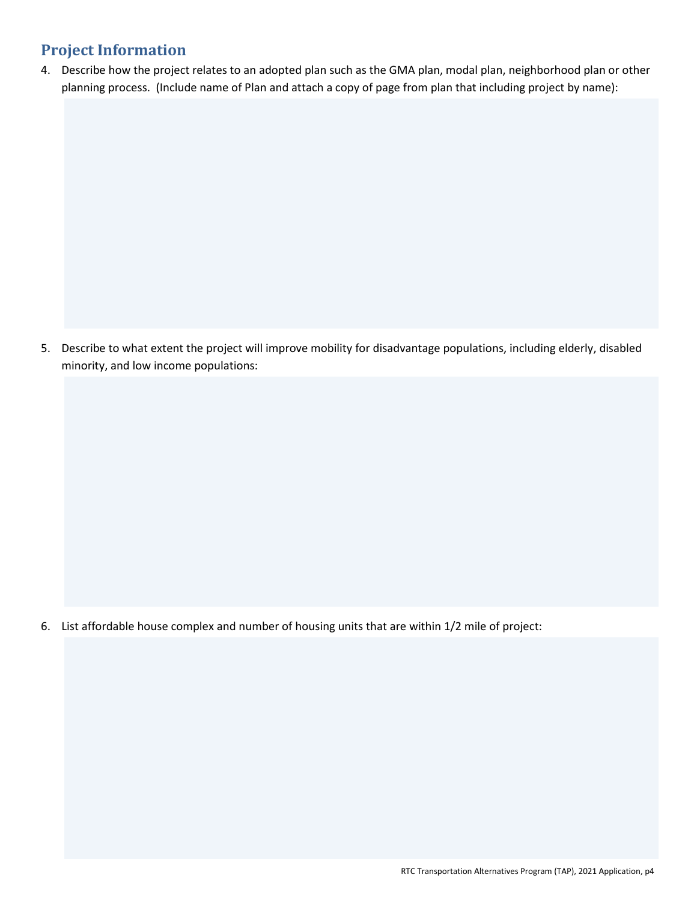4. Describe how the project relates to an adopted plan such as the GMA plan, modal plan, neighborhood plan or other planning process. (Include name of Plan and attach a copy of page from plan that including project by name):

5. Describe to what extent the project will improve mobility for disadvantage populations, including elderly, disabled minority, and low income populations:

6. List affordable house complex and number of housing units that are within 1/2 mile of project: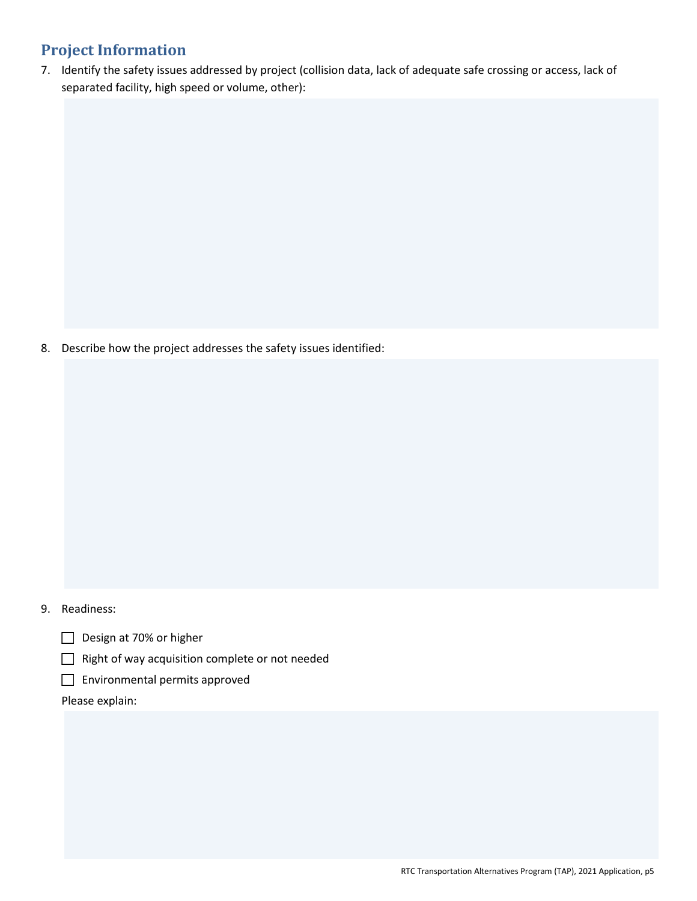7. Identify the safety issues addressed by project (collision data, lack of adequate safe crossing or access, lack of separated facility, high speed or volume, other):

8. Describe how the project addresses the safety issues identified:

#### 9. Readiness:

- Design at 70% or higher
- \_\_ Right of way acquisition complete or not needed
- $\Box$  Environmental permits approved

Please explain: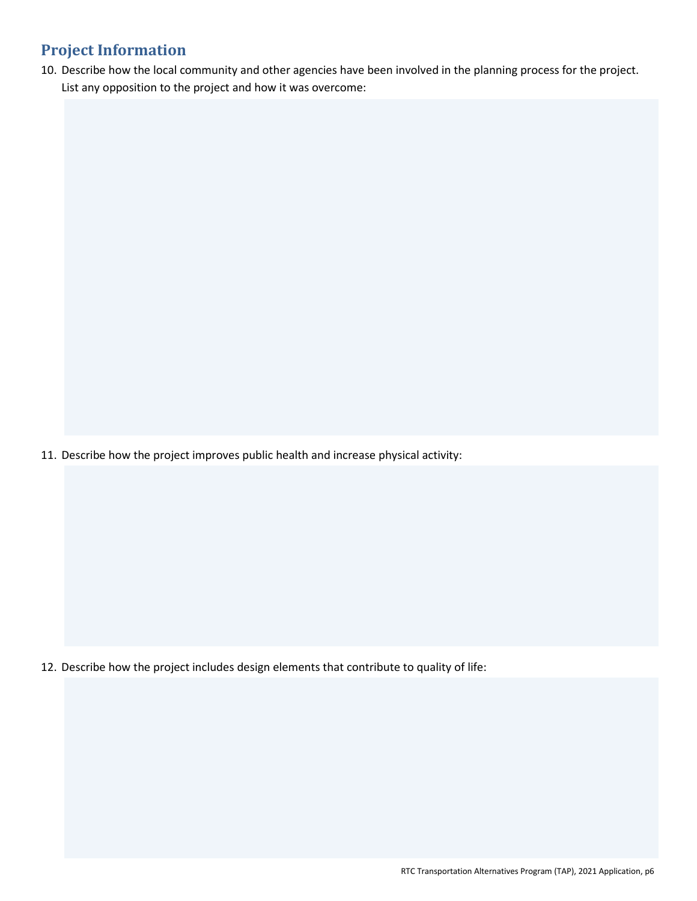10. Describe how the local community and other agencies have been involved in the planning process for the project. List any opposition to the project and how it was overcome:

11. Describe how the project improves public health and increase physical activity:

12. Describe how the project includes design elements that contribute to quality of life: